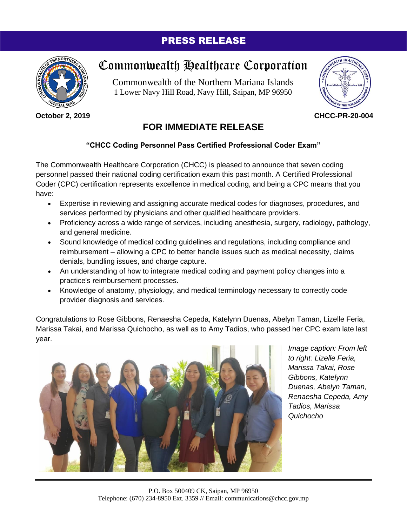## PRESS RELEASE



**October 2, 2019**

## Commonwealth Healthcare Corporation

Commonwealth of the Northern Mariana Islands 1 Lower Navy Hill Road, Navy Hill, Saipan, MP 96950



**CHCC-PR-20-004**

## **FOR IMMEDIATE RELEASE**

## **"CHCC Coding Personnel Pass Certified Professional Coder Exam"**

The Commonwealth Healthcare Corporation (CHCC) is pleased to announce that seven coding personnel passed their national coding certification exam this past month. A Certified Professional Coder (CPC) certification represents excellence in medical coding, and being a CPC means that you have:

- Expertise in reviewing and assigning accurate medical codes for diagnoses, procedures, and services performed by physicians and other qualified healthcare providers.
- Proficiency across a wide range of services, including anesthesia, surgery, radiology, pathology, and general medicine.
- Sound knowledge of medical coding guidelines and regulations, including compliance and reimbursement – allowing a CPC to better handle issues such as medical necessity, claims denials, bundling issues, and charge capture.
- An understanding of how to integrate medical coding and payment policy changes into a practice's reimbursement processes.
- Knowledge of anatomy, physiology, and medical terminology necessary to correctly code provider diagnosis and services.

Congratulations to Rose Gibbons, Renaesha Cepeda, Katelynn Duenas, Abelyn Taman, Lizelle Feria, Marissa Takai, and Marissa Quichocho, as well as to Amy Tadios, who passed her CPC exam late last year.



*Image caption: From left to right: Lizelle Feria, Marissa Takai, Rose Gibbons, Katelynn Duenas, Abelyn Taman, Renaesha Cepeda, Amy Tadios, Marissa Quichocho*